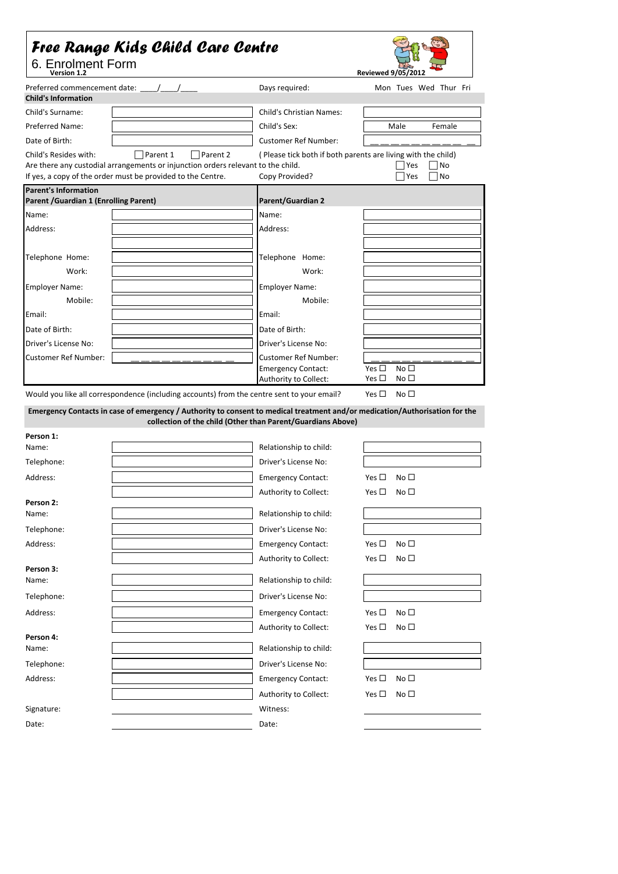## *Free Range Kids Child Care Centre*



6. Enrolment Form

| Version 1.2                                                                                                                              |                                                             | <b>Reviewed 9/05/2012</b>                                      |  |  |  |
|------------------------------------------------------------------------------------------------------------------------------------------|-------------------------------------------------------------|----------------------------------------------------------------|--|--|--|
| <b>Child's Information</b>                                                                                                               | Days required:                                              | Mon Tues Wed Thur Fri                                          |  |  |  |
| Child's Surname:                                                                                                                         | <b>Child's Christian Names:</b>                             |                                                                |  |  |  |
| <b>Preferred Name:</b>                                                                                                                   | Child's Sex:                                                | Male<br>Female                                                 |  |  |  |
| Date of Birth:                                                                                                                           | <b>Customer Ref Number:</b>                                 |                                                                |  |  |  |
| Child's Resides with:<br>Parent 1<br>Parent 2                                                                                            |                                                             | (Please tick both if both parents are living with the child)   |  |  |  |
| Are there any custodial arrangements or injunction orders relevant to the child.                                                         |                                                             | No<br>Yes                                                      |  |  |  |
| If yes, a copy of the order must be provided to the Centre.                                                                              | Copy Provided?                                              | Yes<br>No                                                      |  |  |  |
| <b>Parent's Information</b>                                                                                                              |                                                             |                                                                |  |  |  |
| Parent / Guardian 1 (Enrolling Parent)                                                                                                   | Parent/Guardian 2                                           |                                                                |  |  |  |
| Name:                                                                                                                                    | Name:                                                       |                                                                |  |  |  |
| Address:                                                                                                                                 | Address:                                                    |                                                                |  |  |  |
|                                                                                                                                          |                                                             |                                                                |  |  |  |
| Telephone Home:                                                                                                                          | Telephone Home:                                             |                                                                |  |  |  |
| Work:                                                                                                                                    | Work:                                                       |                                                                |  |  |  |
| <b>Employer Name:</b>                                                                                                                    | <b>Employer Name:</b>                                       |                                                                |  |  |  |
| Mobile:                                                                                                                                  | Mobile:                                                     |                                                                |  |  |  |
| Email:                                                                                                                                   | Email:                                                      |                                                                |  |  |  |
|                                                                                                                                          |                                                             |                                                                |  |  |  |
| Date of Birth:                                                                                                                           | Date of Birth:                                              |                                                                |  |  |  |
| Driver's License No:                                                                                                                     | Driver's License No:                                        |                                                                |  |  |  |
| <b>Customer Ref Number:</b>                                                                                                              | Customer Ref Number:                                        |                                                                |  |  |  |
|                                                                                                                                          | <b>Emergency Contact:</b><br>Authority to Collect:          | No $\square$<br>Yes $\square$<br>No $\square$<br>Yes $\square$ |  |  |  |
| Emergency Contacts in case of emergency / Authority to consent to medical treatment and/or medication/Authorisation for the<br>Person 1: | collection of the child (Other than Parent/Guardians Above) |                                                                |  |  |  |
| Name:                                                                                                                                    | Relationship to child:                                      |                                                                |  |  |  |
| Telephone:                                                                                                                               | Driver's License No:                                        |                                                                |  |  |  |
| Address:                                                                                                                                 | <b>Emergency Contact:</b>                                   | No $\square$<br>Yes $\Box$                                     |  |  |  |
|                                                                                                                                          | Authority to Collect:                                       | No $\square$<br>Yes $\Box$                                     |  |  |  |
| Person 2:                                                                                                                                |                                                             |                                                                |  |  |  |
| Name:                                                                                                                                    | Relationship to child:                                      |                                                                |  |  |  |
| Telephone:                                                                                                                               | Driver's License No:                                        |                                                                |  |  |  |
| Address:                                                                                                                                 | <b>Emergency Contact:</b>                                   | Yes $\square$<br>No $\square$                                  |  |  |  |
|                                                                                                                                          | Authority to Collect:                                       | Yes $\square$<br>No $\square$                                  |  |  |  |
| Person 3:                                                                                                                                | Relationship to child:                                      |                                                                |  |  |  |
| Name:                                                                                                                                    |                                                             |                                                                |  |  |  |
| Telephone:                                                                                                                               | Driver's License No:                                        |                                                                |  |  |  |
| Address:                                                                                                                                 | <b>Emergency Contact:</b>                                   | Yes $\square$<br>No $\square$                                  |  |  |  |
|                                                                                                                                          | Authority to Collect:                                       | Yes $\square$<br>No $\square$                                  |  |  |  |
| Person 4:                                                                                                                                |                                                             |                                                                |  |  |  |
| Name:                                                                                                                                    | Relationship to child:                                      |                                                                |  |  |  |
| Telephone:                                                                                                                               | Driver's License No:                                        |                                                                |  |  |  |
| Address:                                                                                                                                 | <b>Emergency Contact:</b>                                   | Yes $\square$<br>No $\square$                                  |  |  |  |
|                                                                                                                                          | Authority to Collect:                                       | No $\square$<br>Yes $\square$                                  |  |  |  |
| Signature:                                                                                                                               | Witness:                                                    |                                                                |  |  |  |
| Date:                                                                                                                                    | Date:                                                       |                                                                |  |  |  |
|                                                                                                                                          |                                                             |                                                                |  |  |  |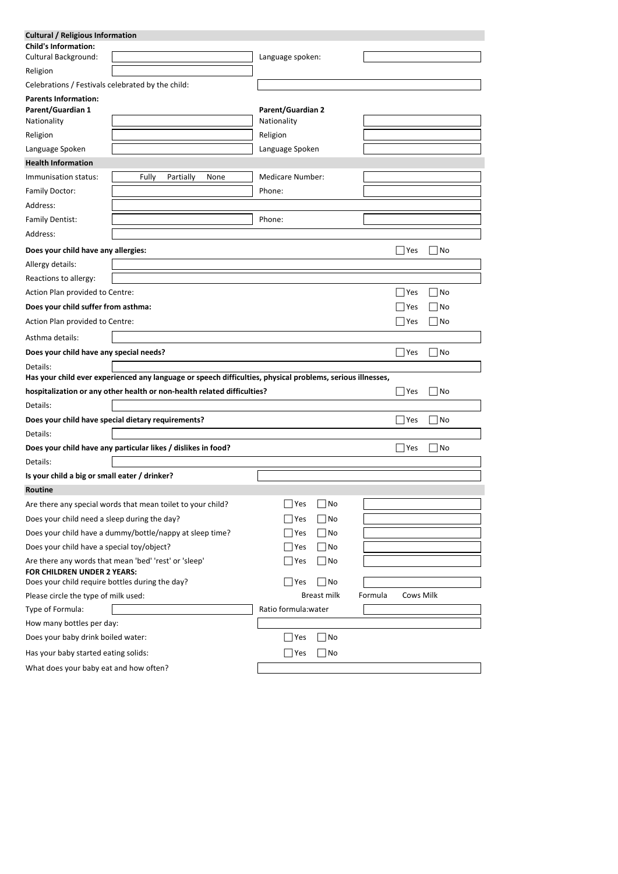| <b>Cultural / Religious Information</b>                  |                                                                                                            |                          |             |         |           |        |
|----------------------------------------------------------|------------------------------------------------------------------------------------------------------------|--------------------------|-------------|---------|-----------|--------|
| <b>Child's Information:</b>                              |                                                                                                            |                          |             |         |           |        |
| Cultural Background:                                     |                                                                                                            | Language spoken:         |             |         |           |        |
| Religion                                                 |                                                                                                            |                          |             |         |           |        |
| Celebrations / Festivals celebrated by the child:        |                                                                                                            |                          |             |         |           |        |
| <b>Parents Information:</b>                              |                                                                                                            |                          |             |         |           |        |
| <b>Parent/Guardian 1</b>                                 |                                                                                                            | <b>Parent/Guardian 2</b> |             |         |           |        |
| Nationality                                              |                                                                                                            | Nationality              |             |         |           |        |
| Religion                                                 |                                                                                                            | Religion                 |             |         |           |        |
| Language Spoken                                          |                                                                                                            | Language Spoken          |             |         |           |        |
| <b>Health Information</b>                                |                                                                                                            |                          |             |         |           |        |
| Immunisation status:                                     | Fully<br>Partially<br>None                                                                                 | <b>Medicare Number:</b>  |             |         |           |        |
| Family Doctor:                                           |                                                                                                            | Phone:                   |             |         |           |        |
| Address:                                                 |                                                                                                            |                          |             |         |           |        |
| <b>Family Dentist:</b>                                   |                                                                                                            | Phone:                   |             |         |           |        |
| Address:                                                 |                                                                                                            |                          |             |         |           |        |
| Does your child have any allergies:                      |                                                                                                            |                          |             |         | Yes       | No     |
| Allergy details:                                         |                                                                                                            |                          |             |         |           |        |
| Reactions to allergy:                                    |                                                                                                            |                          |             |         |           |        |
| Action Plan provided to Centre:                          |                                                                                                            |                          |             |         | Yes       | No     |
| Does your child suffer from asthma:                      |                                                                                                            |                          |             |         | Yes       | No     |
| Action Plan provided to Centre:                          |                                                                                                            |                          |             |         | Yes       | $ $ No |
| Asthma details:                                          |                                                                                                            |                          |             |         |           |        |
| Does your child have any special needs?                  |                                                                                                            |                          |             | Yes     | $ $ No    |        |
| Details:                                                 | Has your child ever experienced any language or speech difficulties, physical problems, serious illnesses, |                          |             |         |           |        |
|                                                          | hospitalization or any other health or non-health related difficulties?                                    |                          |             |         | Yes       | No     |
| Details:                                                 |                                                                                                            |                          |             |         |           |        |
| Does your child have special dietary requirements?       | Yes                                                                                                        |                          |             | No      |           |        |
| Details:                                                 |                                                                                                            |                          |             |         |           |        |
|                                                          | Does your child have any particular likes / dislikes in food?                                              |                          |             |         | Yes       | No     |
| Details:                                                 |                                                                                                            |                          |             |         |           |        |
| Is your child a big or small eater / drinker?            |                                                                                                            |                          |             |         |           |        |
| Routine                                                  |                                                                                                            |                          |             |         |           |        |
|                                                          | Are there any special words that mean toilet to your child?                                                | Yes                      | No          |         |           |        |
| Does your child need a sleep during the day?             |                                                                                                            | Yes                      | No          |         |           |        |
| Does your child have a dummy/bottle/nappy at sleep time? |                                                                                                            | Yes                      | No          |         |           |        |
| Does your child have a special toy/object?               |                                                                                                            | Yes                      | No          |         |           |        |
| <b>FOR CHILDREN UNDER 2 YEARS:</b>                       | Are there any words that mean 'bed' 'rest' or 'sleep'                                                      | Yes                      | No          |         |           |        |
| Does your child require bottles during the day?          |                                                                                                            | Yes                      | No          |         |           |        |
| Please circle the type of milk used:                     |                                                                                                            |                          | Breast milk | Formula | Cows Milk |        |
| Type of Formula:                                         |                                                                                                            | Ratio formula: water     |             |         |           |        |
| How many bottles per day:                                |                                                                                                            |                          |             |         |           |        |
| Does your baby drink boiled water:                       |                                                                                                            | Yes                      | No          |         |           |        |
| Has your baby started eating solids:                     |                                                                                                            | Yes                      | No          |         |           |        |
| What does your baby eat and how often?                   |                                                                                                            |                          |             |         |           |        |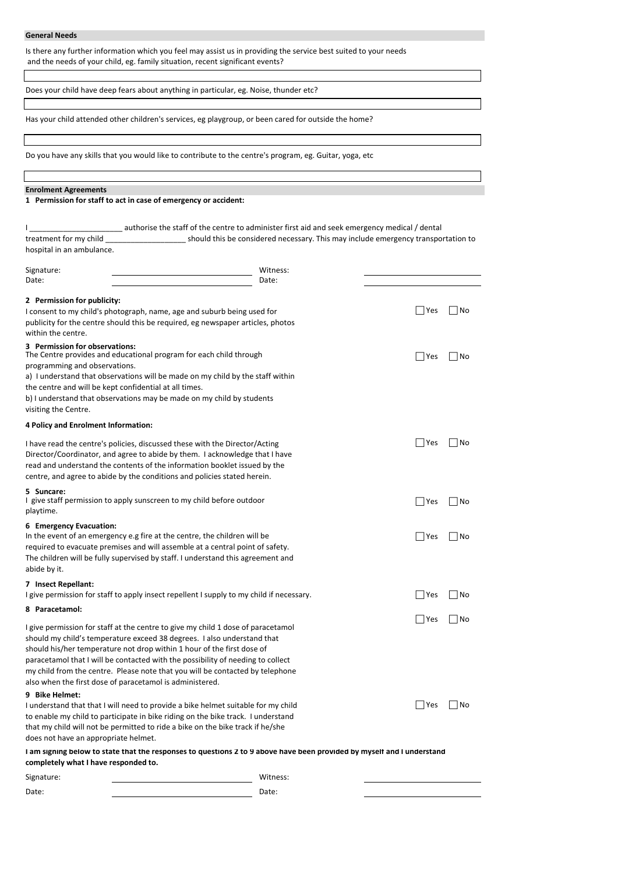## **General Needs**

Is there any further information which you feel may assist us in providing the service best suited to your needs and the needs of your child, eg. family situation, recent significant events?

Does your child have deep fears about anything in particular, eg. Noise, thunder etc?

Has your child attended other children's services, eg playgroup, or been cared for outside the home?

Do you have any skills that you would like to contribute to the centre's program, eg. Guitar, yoga, etc

## **Enrolment Agreements**

**1 Permission for staff to act in case of emergency or accident:**

|                           | authorise the staff of the centre to administer first aid and seek emergency medical / dental |
|---------------------------|-----------------------------------------------------------------------------------------------|
| treatment for my child    | should this be considered necessary. This may include emergency transportation to             |
| hospital in an ambulance. |                                                                                               |

| Signature:                                               | Witness:                                                                                                                                                         |                 |      |
|----------------------------------------------------------|------------------------------------------------------------------------------------------------------------------------------------------------------------------|-----------------|------|
| Date:                                                    | Date:                                                                                                                                                            |                 |      |
| 2 Permission for publicity:                              |                                                                                                                                                                  |                 |      |
|                                                          | I consent to my child's photograph, name, age and suburb being used for                                                                                          | Yes<br>   No    |      |
|                                                          | publicity for the centre should this be required, eg newspaper articles, photos                                                                                  |                 |      |
| within the centre.                                       |                                                                                                                                                                  |                 |      |
| 3 Permission for observations:                           | The Centre provides and educational program for each child through                                                                                               | Yes<br>   No    |      |
| programming and observations.                            |                                                                                                                                                                  |                 |      |
|                                                          | a) I understand that observations will be made on my child by the staff within                                                                                   |                 |      |
| the centre and will be kept confidential at all times.   |                                                                                                                                                                  |                 |      |
|                                                          | b) I understand that observations may be made on my child by students                                                                                            |                 |      |
| visiting the Centre.                                     |                                                                                                                                                                  |                 |      |
| 4 Policy and Enrolment Information:                      |                                                                                                                                                                  |                 |      |
|                                                          | I have read the centre's policies, discussed these with the Director/Acting                                                                                      | Yes             | l No |
|                                                          | Director/Coordinator, and agree to abide by them. I acknowledge that I have                                                                                      |                 |      |
|                                                          | read and understand the contents of the information booklet issued by the                                                                                        |                 |      |
|                                                          | centre, and agree to abide by the conditions and policies stated herein.                                                                                         |                 |      |
| 5 Suncare:                                               |                                                                                                                                                                  |                 |      |
|                                                          | I give staff permission to apply sunscreen to my child before outdoor                                                                                            | l lYes<br>   No |      |
| playtime.                                                |                                                                                                                                                                  |                 |      |
| 6 Emergency Evacuation:                                  |                                                                                                                                                                  |                 |      |
|                                                          | In the event of an emergency e.g fire at the centre, the children will be                                                                                        | Yes<br>   No    |      |
|                                                          | required to evacuate premises and will assemble at a central point of safety.<br>The children will be fully supervised by staff. I understand this agreement and |                 |      |
| abide by it.                                             |                                                                                                                                                                  |                 |      |
|                                                          |                                                                                                                                                                  |                 |      |
| 7 Insect Repellant:                                      | I give permission for staff to apply insect repellent I supply to my child if necessary.                                                                         | Yes<br>   No    |      |
| 8 Paracetamol:                                           |                                                                                                                                                                  |                 |      |
|                                                          |                                                                                                                                                                  | Yes<br>l No     |      |
|                                                          | I give permission for staff at the centre to give my child 1 dose of paracetamol                                                                                 |                 |      |
|                                                          | should my child's temperature exceed 38 degrees. I also understand that                                                                                          |                 |      |
|                                                          | should his/her temperature not drop within 1 hour of the first dose of                                                                                           |                 |      |
|                                                          | paracetamol that I will be contacted with the possibility of needing to collect<br>my child from the centre. Please note that you will be contacted by telephone |                 |      |
| also when the first dose of paracetamol is administered. |                                                                                                                                                                  |                 |      |
| 9 Bike Helmet:                                           |                                                                                                                                                                  |                 |      |
|                                                          | I understand that that I will need to provide a bike helmet suitable for my child                                                                                | Yes             | l No |
|                                                          | to enable my child to participate in bike riding on the bike track. I understand                                                                                 |                 |      |
|                                                          | that my child will not be permitted to ride a bike on the bike track if he/she                                                                                   |                 |      |
| does not have an appropriate helmet.                     |                                                                                                                                                                  |                 |      |
|                                                          | I am signing below to state that the responses to questions 2 to 9 above have been provided by myself and I understand                                           |                 |      |
| completely what I have responded to.                     |                                                                                                                                                                  |                 |      |
| Signature:                                               | Witness:                                                                                                                                                         |                 |      |
| Date:                                                    | Date:                                                                                                                                                            |                 |      |